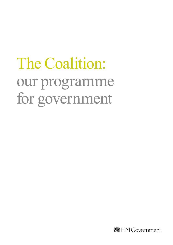# The Coalition: our programme for government

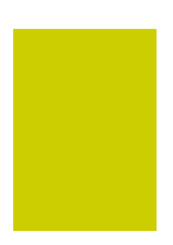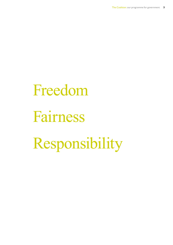# Freedom Fairness Responsibility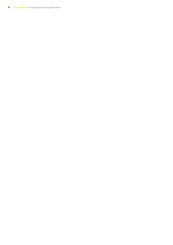The Coalition: our programme for government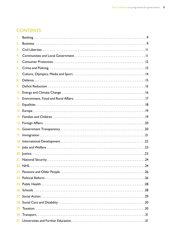# **CONTENTS**

| Τ.  |     |
|-----|-----|
| 2.  |     |
| 3.  |     |
| 4.  |     |
| 5.  |     |
| 6.  |     |
| 7.  |     |
| 8.  |     |
| 9.  |     |
| 10. |     |
| Н.  |     |
|     |     |
|     |     |
|     |     |
|     |     |
|     |     |
| 17. |     |
|     |     |
| 19. |     |
|     |     |
|     |     |
|     | .24 |
|     |     |
|     |     |
|     |     |
|     |     |
|     |     |
|     |     |
|     |     |
|     |     |
|     |     |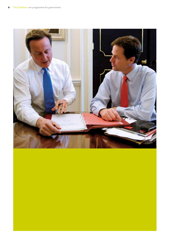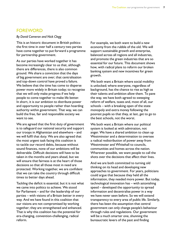#### FOREWORD

#### *By David Cameron and Nick Clegg*

This is an historic document in British politics: the first time in over half a century two parties have come together to put forward a programme for partnership government.

As our parties have worked together it has become increasingly clear to us that, although there are differences, there is also common ground. We share a conviction that the days of big government are over; that centralisation and top-down control have proved a failure. We believe that the time has come to disperse power more widely in Britain today; to recognise that we will only make progress if we help people to come together to make life better. In short, it is our ambition to distribute power and opportunity to people rather than hoarding authority within government. That way, we can build the free, fair and responsible society we want to see.

We are agreed that the first duty of government is to safeguard our national security and support our troops in Afghanistan and elsewhere – and we will fulfil that duty. We are also agreed that the most urgent task facing this coalition is to tackle our record debts, because without sound finances, none of our ambitions will be deliverable. Difficult decisions will have to be taken in the months and years ahead, but we will ensure that fairness is at the heart of those decisions so that all those most in need are protected. Working together, we are confident that we can take the country through difficult times to better days ahead.

Tackling the deficit is essential, but it is not what we came into politics to achieve. We stood for Parliament  $-$  and for the leadership of our parties – with visions of a Britain better in every way. And we have found in this coalition that our visions are not compromised by working together; they are strengthened and enhanced. That is why this coalition has the potential for era-changing, convention-challenging, radical reform. 

For example, we both want to build a new economy from the rubble of the old. We will support sustainable growth and enterprise, balanced across all regions and all industries, and promote the green industries that are so essential for our future. This document shows how, with radical plans to reform our broken banking system and new incentives for green growth.

We both want a Britain where social mobility is unlocked; where everyone, regardless of background, has the chance to rise as high as their talents and ambition allow them. To pave the way, we have both agreed to sweeping reform of welfare, taxes and, most of all, our schools  $-$  with a breaking open of the state monopoly and extra money following the poorest pupils so that they, at last, get to go to the best schools, not the worst.

We both want a Britain where our political system is looked at with admiration, not anger. We have a shared ambition to clean up Westminster and a determination to oversee a radical redistribution of power away from Westminster and Whitehall to councils, communities and homes across the nation. Wherever possible, we want people to call the shots over the decisions that affect their lives.

And we are both committed to turning old thinking on its head and developing new approaches to government. For years, politicians could argue that because they held all the information, they needed more power. But today,  $technological innovation has – with astonishing$ speed - developed the opportunity to spread information and decentralise power in a way we have never seen before. So we will extend transparency to every area of public life. Similarly, there has been the assumption that central government can only change people's behaviour through rules and regulations. Our government will be a much smarter one, shunning the bureaucratic levers of the past and finding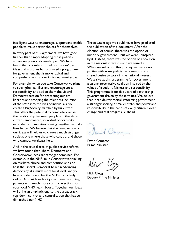intelligent ways to encourage, support and enable people to make better choices for themselves.

In every part of this agreement, we have gone further than simply adopting those policies where we previously overlapped. We have found that a combination of our parties' best ideas and attitudes has produced a programme for government that is more radical and comprehensive than our individual manifestos.

For example, when you take Conservative plans to strengthen families and encourage social responsibility, and add to them the Liberal Democrat passion for protecting our civil liberties and stopping the relentless incursion of the state into the lives of individuals, you create a Big Society matched by big citizens. This offers the potential to completely recast the relationship between people and the state: citizens empowered; individual opportunity extended; communities coming together to make lives better. We believe that the combination of our ideas will help us to create a much stronger society: one where those who can, do; and those who cannot, we always help.

And in the crucial area of public service reform, we have found that Liberal Democrat and Conservative ideas are stronger combined. For example, in the NHS, take Conservative thinking on markets, choice and competition and add to it the Liberal Democrat belief in advancing democracy at a much more local level, and you have a united vision for the NHS that is truly radical: GPs with authority over commissioning; patients with much more control; elections for your local NHS health board. Together, our ideas will bring an emphatic end to the bureaucracy, top-down control and centralisation that has so diminished our NHS

Three weeks ago we could never have predicted the publication of this document. After the election, of course, there was the option of minority government  $-$  but we were uninspired by it. Instead, there was the option of a coalition in the national interest  $-$  and we seized it. When we set off on this journey we were two parties with some policies in common and a shared desire to work in the national interest. We arrive at this programme for government a strong, progressive coalition inspired by the values of freedom, fairness and responsibility. This programme is for five years of partnership government driven by those values. We believe that it can deliver radical, reforming government, a stronger society, a smaller state, and power and responsibility in the hands of every citizen. Great change and real progress lie ahead.

Jail Caren

David Cameron Prime Minister

Nick Clog

Nick Clegg Deputy Prime Minister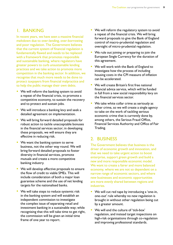#### 1. BANKING

In recent years, we have seen a massive financial meltdown due to over-lending, over-borrowing and poor regulation. The Government believes that the current system of financial regulation is fundamentally flawed and needs to be replaced with a framework that promotes responsible and sustainable banking, where regulators have greater powers to curb unsustainable lending practices and we take action to promote more competition in the banking sector. In addition, we recognise that much more needs to be done to protect taxpayers from financial malpractice and to help the public manage their own debts.

- We will reform the banking system to avoid a repeat of the financial crisis, to promote a competitive economy, to sustain the recovery and to protect and sustain jobs.
- We will introduce a banking levy and seek a detailed agreement on implementation.
- We will bring forward detailed proposals for robust action to tackle unacceptable bonuses in the financial services sector; in developing these proposals, we will ensure they are effective in reducing risk.
- We want the banking system to serve business, not the other way round. We will bring forward detailed proposals to foster diversity in financial services, promote mutuals and create a more competitive banking industry.
- We will develop effective proposals to ensure the flow of credit to viable SMEs. This will include consideration of both a major loan guarantee scheme and the use of net lending targets for the nationalised banks.
- We will take steps to reduce systemic risk in the banking system and will establish an independent commission to investigate the complex issue of separating retail and investment banking in a sustainable way; while recognising that this will take time to get right, the commission will be given an initial time frame of one year to report.
- We will reform the regulatory system to avoid a repeat of the financial crisis. We will bring forward proposals to give the Bank of England control of macro-prudential regulation and oversight of micro-prudential regulation.
- We rule out joining or preparing to join the European Single Currency for the duration of this agreement.
- We will work with the Bank of England to investigate how the process of including housing costs in the CPI measure of inflation can be accelerated.
- We will create Britain's first free national financial advice service, which will be funded in full from a new social responsibility levy on the financial services sector.
- We take white collar crime as seriously as other crime, so we will create a single agency to take on the work of tackling serious economic crime that is currently done by, among others, the Serious Fraud Office, Financial Services Authority and Office of Fair Trading.

# 2. BUSINESS

The Government believes that business is the driver of economic growth and innovation, and that we need to take urgent action to boost enterprise, support green growth and build a new and more responsible economic model. We want to create a fairer and more balanced economy, where we are not so dependent on a narrow range of economic sectors, and where new businesses and economic opportunities are more evenly shared between regions and industries.

- We will cut red tape by introducing a 'one-in, one-out' rule whereby no new regulation is brought in without other regulation being cut by a greater amount.
- We will end the culture of 'tick-box' regulation, and instead target inspections on high-risk organisations through co-regulation and improving professional standards.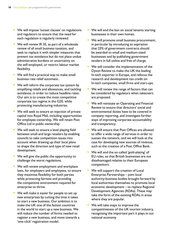- We will impose 'sunset clauses' on regulations and regulators to ensure that the need for each regulation is regularly reviewed.
- We will review IR 35, as part of a wholesale review of all small business taxation, and seek to replace it with simpler measures that prevent tax avoidance but do not place undue administrative burdens or uncertainty on the self-employed, or restrict labour market flexibility.
- We will find a practical way to make small business rate relief automatic.
- We will reform the corporate tax system by simplifying reliefs and allowances, and tackling avoidance, in order to reduce headline rates. Our aim is to create the most competitive corporate tax regime in the G20, while protecting manufacturing industries.
- We will seek to ensure an injection of private capital into Royal Mail, including opportunities for employee ownership. We will retain Post Office Ltd in public ownership.
- We will seek to ensure a level playing field between small and large retailers by enabling councils to take competition issues into account when drawing up their local plans to shape the direction and type of new retail development.
- We will give the public the opportunity to challenge the worst regulations.
- We will review employment and workplace laws, for employers and employees, to ensure they maximise flexibility for both parties while protecting fairness and providing the competitive environment required for enterprise to thrive.
- We will make it easier for people to set up new enterprises by cutting the time it takes to start a new business. Our ambition is to make the UK one of the fastest countries in the world to start up a new business. We will reduce the number of forms needed to register a new business, and move towards a 'one-click' registration model.
- We will end the ban on social tenants starting businesses in their own homes.
- We will promote small business procurement, in particular by introducing an aspiration that 25% of government contracts should be awarded to small and medium-sized businesses and by publishing government tenders in full online and free of charge.
- We will consider the implementation of the Dyson Review to make the UK the leading hi-tech exporter in Europe, and refocus the research and development tax credit on hi-tech companies, small firms and start-ups.
- We will review the range of factors that can be considered by regulators when takeovers are proposed.
- We will reinstate an Operating and Financial Review to ensure that directors' social and environmental duties have to be covered in company reporting, and investigate further ways of improving corporate accountability and transparency.
- We will ensure that Post Offices are allowed to offer a wide range of services in order to sustain the network, and we will look at the case for developing new sources of revenue, such as the creation of a Post Office Bank.
- We will end the so-called 'gold-plating' of EU rules, so that British businesses are not disadvantaged relative to their European competitors.
- We will support the creation of Local Enterprise Partnerships – joint local authority-business bodies brought forward by local authorities themselves to promote local economic development - to replace Regional Development Agencies (RDAs). These may take the form of the existing RDAs in areas where they are popular.
- We will take steps to improve the competitiveness of the UK tourism industry, recognising the important part it plays in our national economy.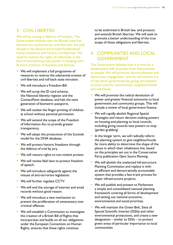#### 3. CIVIL LIBERTIES

We will be strong in defence of freedom. The Government believes that the British state has become too authoritarian, and that over the past decade it has abused and eroded fundamental human freedoms and historic civil liberties. We need to restore the rights of individuals in the face of encroaching state power, in keeping with Britain's tradition of freedom and fairness.

- We will implement a full programme of measures to reverse the substantial erosion of civil liberties and roll back state intrusion.
- We will introduce a Freedom Bill.
- We will scrap the ID card scheme, the National Identity register and the ContactPoint database, and halt the next generation of biometric passports.
- We will outlaw the finger-printing of children at school without parental permission.
- We will extend the scope of the Freedom of Information Act to provide greater transparency.
- We will adopt the protections of the Scottish model for the DNA database.
- We will protect historic freedoms through the defence of trial by jury.
- We will restore rights to non-violent protest.
- We will review libel laws to protect freedom of speech.
- We will introduce safeguards against the misuse of anti-terrorism legislation.
- We will further regulate CCTV.
- We will end the storage of internet and email records without good reason.
- We will introduce a new mechanism to prevent the proliferation of unnecessary new criminal offences.
- We will establish a Commission to investigate the creation of a British Bill of Rights that incorporates and builds on all our obligations under the European Convention on Human Rights, ensures that these rights continue

to be enshrined in British law, and protects and extends British liberties. We will seek to promote a better understanding of the true scope of these obligations and liberties.

# **4. COMMUNITIES AND LOCAL** GOVERNMENT

The Government believes that it is time for a fundamental shift of power from Westminster to people. We will promote decentralisation and democratic engagement, and we will end the era of top-down government by giving new powers to local councils, communities, neighbourhoods and individuals.

- We will promote the radical devolution of power and greater financial autonomy to local government and community groups. This will include a review of local government finance.
- We will rapidly abolish Regional Spatial Strategies and return decision-making powers on housing and planning to local councils, including giving councils new powers to stop 'garden grabbing'.
- In the longer term, we will radically reform the planning system to give neighbourhoods far more ability to determine the shape of the places in which their inhabitants live, based on the principles set out in the Conservative Party publication *Open Source Planning*.
- We will abolish the unelected Infrastructure Planning Commission and replace it with an efficient and democratically accountable system that provides a fast-track process for major infrastructure projects.
- We will publish and present to Parliament a simple and consolidated national planning framework covering all forms of development and setting out national economic, environmental and social priorities.
- We will maintain the Green Belt, Sites of Special Scientific Interest (SSSIs) and other environmental protections, and create a new designation  $-$  similar to SSSIs  $-$  to protect green areas of particular importance to local communities.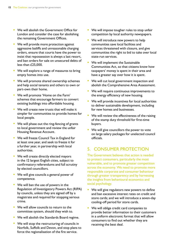- We will abolish the Government Office for London and consider the case for abolishing the remaining Government Offices.
- We will provide more protection against aggressive bailiffs and unreasonable charging orders, ensure that courts have the power to insist that repossession is always a last resort, and ban orders for sale on unsecured debts of less than  $£25,000$ .
- We will explore a range of measures to bring empty homes into use.
- We will promote shared ownership schemes and help social tenants and others to own or part-own their home.
- We will promote 'Home on the Farm' schemes that encourage farmers to convert existing buildings into affordable housing.
- We will create new trusts that will make it simpler for communities to provide homes for local people.
- We will phase out the ring-fencing of grants to local government and review the unfair Housing Revenue Account.
- We will freeze Council Tax in England for at least one year, and seek to freeze it for a further year, in partnership with local authorities.
- We will create directly elected mayors in the 12 largest English cities, subject to confirmatory referendums and full scrutiny by elected councillors.
- We will give councils a general power of competence.
- We will ban the use of powers in the Regulation of Investigatory Powers Act (RIPA) by councils, unless they are signed off by a magistrate and required for stopping serious crime.
- We will allow councils to return to the committee system, should they wish to.
- We will abolish the Standards Board regime.
- We will stop the restructuring of councils in Norfolk, Suffolk and Devon, and stop plans to force the regionalisation of the fire service.
- We will impose tougher rules to stop unfair competition by local authority newspapers.
- We will introduce new powers to help communities save local facilities and services threatened with closure, and give communities the right to bid to take over local state-run services.
- We will implement the Sustainable Communities Act, so that citizens know how taxpayers' money is spent in their area and have a greater say over how it is spent.
- We will cut local government inspection and abolish the Comprehensive Area Assessment.
- We will require continuous improvements to the energy efficiency of new housing.
- We will provide incentives for local authorities to deliver sustainable development, including for new homes and businesses.
- We will review the effectiveness of the raising of the stamp duty threshold for first-time buyers.
- We will give councillors the power to vote on large salary packages for unelected council officials.

# 5. CONSUMER PROTECTION

The Government believes that action is needed to protect consumers, particularly the most vulnerable, and to promote greater competition across the economy. We need to promote more responsible corporate and consumer behaviour through greater transparency and by harnessing the insights from behavioural economics and social psychology.

- We will give regulators new powers to define and ban excessive interest rates on credit and store cards; and we will introduce a seven-day cooling-off period for store cards.
- We will oblige credit card companies to provide better information to their customers in a uniform electronic format that will allow consumers to find out whether they are receiving the best deal.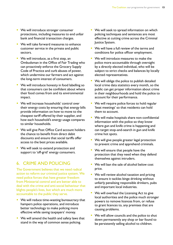- We will introduce stronger consumer protections, including measures to end unfair bank and financial transaction charges.
- We will take forward measures to enhance customer service in the private and public sectors.
- We will introduce, as a first step, an Ombudsman in the Office of Fair Trading who can proactively enforce the Grocery Supply Code of Practice and curb abuses of power, which undermine our farmers and act against the long-term interest of consumers.
- We will introduce honesty in food labelling so that consumers can be confident about where their food comes from and its environmental impact.
- We will increase households' control over their energy costs by ensuring that energy bills provide information on how to move to the cheapest tariff offered by their supplier, and how each household's energy usage compares to similar households.
- We will give Post Office Card account holders the chance to benefit from direct debit discounts and ensure that social tariffs offer access to the best prices available.
- We will seek to extend protection and support to 'off-grid' energy consumers.

# **6. CRIME AND POLICING**

The Government believes that we need radical action to reform our criminal justice system. We need police forces that have greater freedom from Ministerial control and are better able to deal with the crime and anti-social behaviour that blights people's lives, but which are much more accountable to the public they serve.

- We will reduce time-wasting bureaucracy that hampers police operations, and introduce better technology to make policing more effective while saving taxpayers' money.
- We will amend the health and safety laws that stand in the way of common sense policing.
- We will seek to spread information on which policing techniques and sentences are most effective at cutting crime across the Criminal lustice System.
- We will have a full review of the terms and conditions for police officer employment.
- We will introduce measures to make the police more accountable through oversight by a directly elected individual, who will be subject to strict checks and balances by locally elected representatives.
- We will oblige the police to publish detailed local crime data statistics every month, so the public can get proper information about crime in their neighbourhoods and hold the police to account for their performance.
- We will require police forces to hold regular 'beat meetings' so that residents can hold them to account.
- We will make hospitals share non-confidential information with the police so they know where gun and knife crime is happening and can target stop-and-search in gun and knife crime hot spots.
- We will give people greater legal protection to prevent crime and apprehend criminals.
- We will ensure that people have the protection that they need when they defend themselves against intruders.
- We will ban the sale of alcohol below cost price.
- We will review alcohol taxation and pricing to ensure it tackles binge drinking without unfairly penalising responsible drinkers, pubs and important local industries.
- We will overhaul the Licensing Act to give local authorities and the police much stronger powers to remove licences from, or refuse to grant licences to, any premises that are causing problems.
- We will allow councils and the police to shut down permanently any shop or bar found to be persistently selling alcohol to children.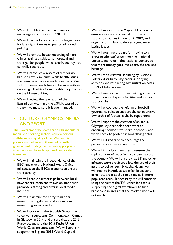- We will double the maximum fine for under-age alcohol sales to  $£20,000$ .
- We will permit local councils to charge more for late-night licences to pay for additional policing.
- We will promote better recording of hate crimes against disabled, homosexual and transgender people, which are frequently not centrally recorded.
- We will introduce a system of temporary bans on new 'legal highs' while health issues are considered by independent experts. We will not permanently ban a substance without receiving full advice from the Advisory Council on the Misuse of Drugs.
- We will review the operation of the Extradition Act – and the US/UK extradition  $t$ reaty – to make sure it is even-handed.

# 7. CULTURE, OLYMPICS, MEDIA AND SPORT

The Government believes that a vibrant cultural, media and sporting sector is crucial for our well-being and quality of life. We need to promote excellence in these fields, with government funding used where appropriate to encourage philanthropic and corporate investment. 

- We will maintain the independence of the BBC, and give the National Audit Office full access to the BBC's accounts to ensure transparency.
- We will enable partnerships between local newspapers, radio and television stations to promote a strong and diverse local media industry.
- We will maintain free entry to national museums and galleries, and give national museums greater freedoms.
- We will work with the Scottish Government to deliver a successful Commonwealth Games in Glasgow in 2014, and ensure that the 2013 Rugby League and the 2015 Rugby Union World Cups are successful. We will strongly support the England 2018 World Cup bid.
- We will work with the Mayor of London to ensure a safe and successful Olympic and Paralympic Games in London in 2012, and urgently form plans to deliver a genuine and lasting legacy.
- We will examine the case for moving to a 'gross profits tax' system for the National Lottery, and reform the National Lottery so that more money goes into sport, the arts and heritage.
- We will stop wasteful spending by National Lottery distributors by banning lobbying activities and restricting administration costs to 5% of total income.
- We will use cash in dormant betting accounts to improve local sports facilities and support sports clubs.
- We will encourage the reform of football governance rules to support the co-operative ownership of football clubs by supporters.
- We will support the creation of an annual Olympic-style schools sport event to encourage competitive sport in schools, and we will seek to protect school playing fields.
- We will cut red tape to encourage the performance of more live music.
- We will introduce measures to ensure the rapid roll-out of superfast broadband across the country. We will ensure that BT and other infrastructure providers allow the use of their assets to deliver such broadband, and we will seek to introduce superfast broadband in remote areas at the same time as in more populated areas. If necessary, we will consider using the part of the TV licence fee that is supporting the digital switchover to fund broadband in areas that the market alone will not reach.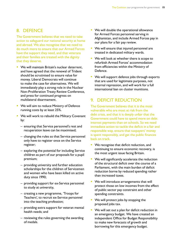#### 8. DEFENCE

The Government believes that we need to take action to safeguard our national security at home and abroad. We also recognise that we need to do much more to ensure that our Armed Forces have the support they need, and that veterans and their families are treated with the dignity that they deserve.

- We will maintain Britain's nuclear deterrent, and have agreed that the renewal of Trident should be scrutinised to ensure value for money. Liberal Democrats will continue to make the case for alternatives. We will immediately play a strong role in the Nuclear Non-Proliferation Treaty Review Conference, and press for continued progress on multilateral disarmament.
- We will aim to reduce Ministry of Defence running costs by at least 25%.
- We will work to rebuild the Military Covenant by:
	- ensuring that Service personnel's rest and recuperation leave can be maximised;
	- changing the rules so that Service personnel only have to register once on the Service register;
	- $-$  exploring the potential for including Service children as part of our proposals for a pupil premium;
	- $-$  providing university and further education scholarships for the children of Servicemen and women who have been killed on active duty since 1990;
	- providing support for ex-Service personnel to study at university,
	- creating a new programme, 'Troops for Teachers', to recruit ex-Service personnel into the teaching profession;
	- $-$  providing extra support for veteran mental health needs; and
	- $-$  reviewing the rules governing the awarding of medals.
- We will double the operational allowance for Armed Forces personnel serving in Afghanistan, and include Armed Forces pay in our plans for a fair pay review.
- We will ensure that injured personnel are treated in dedicated military wards.
- We will look at whether there is scope to refurbish Armed Forces' accommodation from efficiencies within the Ministry of Defence.
- We will support defence jobs through exports that are used for legitimate purposes, not internal repression, and will work for a full international ban on cluster munitions.

# 9. DEFICIT REDUCTION

The Government believes that it is the most vulnerable who are most at risk from the debt crisis, and that it is deeply unfair that the Government could have to spend more on debt interest payments than on schools. So we need immediate action to tackle the deficit in a fair and responsible way, ensure that taxpayers' money is spent responsibly, and get the public finances back on track.

- We recognise that deficit reduction, and continuing to ensure economic recovery, is the most urgent issue facing Britain.
- We will significantly accelerate the reduction of the structural deficit over the course of a Parliament, with the main burden of deficit reduction borne by reduced spending rather than increased taxes.
- We will introduce arrangements that will protect those on low incomes from the effect of public sector pay constraint and other spending constraints.
- We will protect jobs by stopping the proposed jobs tax.
- We will set out a plan for deficit reduction in an emergency budget. We have created an independent Office for Budget Responsibility to make new forecasts of growth and borrowing for this emergency budget.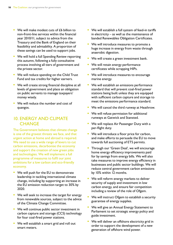- We will make modest cuts of  $£6$  billion to non-front-line services within the financial year 2010/11, subject to advice from the Treasury and the Bank of England on their feasibility and advisability. A proportion of these savings can be used to support jobs.
- We will hold a full Spending Review reporting this autumn, following a fully consultative process involving all tiers of government and the private sector.
- We will reduce spending on the Child Trust Fund and tax credits for higher earners.
- We will create strong financial discipline at all levels of government and place an obligation on public servants to manage taxpayers' money wisely.
- We will reduce the number and cost of quangos.

# **10. ENERGY AND CLIMATE CHANGE**

The Government believes that climate change is one of the gravest threats we face, and that urgent action at home and abroad is required. We need to use a wide range of levers to cut carbon emissions, decarbonise the economy and support the creation of new green jobs and technologies. We will implement a full programme of measures to fulfil our joint ambitions for a low carbon and eco-friendly economy.

- We will push for the EU to demonstrate leadership in tackling international climate change, including by supporting an increase in the EU emission reduction target to 30% by 2020.
- We will seek to increase the target for energy from renewable sources, subject to the advice of the Climate Change Committee.
- We will continue public sector investment in carbon capture and storage (CCS) technology for four coal-fired power stations.
- We will establish a smart grid and roll out smart meters.
- We will establish a full system of feed-in tariffs in electricity  $-$  as well as the maintenance of banded Renewables Obligation Certificates.
- We will introduce measures to promote a huge increase in energy from waste through anaerobic digestion.
- We will create a green investment bank.
- We will retain energy performance certificates while scrapping HIPs.
- We will introduce measures to encourage marine energy.
- We will establish an emissions performance standard that will prevent coal-fired power stations being built unless they are equipped with sufficient carbon capture and storage to meet the emissions performance standard.
- We will cancel the third runway at Heathrow.
- We will refuse permission for additional runways at Gatwick and Stansted.
- We will replace Air Passenger Duty with a per-flight duty.
- We will introduce a floor price for carbon, and make efforts to persuade the EU to move towards full auctioning of ETS permits.
- Through our 'Green Deal', we will encourage home energy efficiency improvements paid for by savings from energy bills. We will also take measures to improve energy efficiency in businesses and public sector buildings. We will reduce central government carbon emissions by 10% within 12 months.
- We will reform energy markets to deliver security of supply and investment in low carbon energy, and ensure fair competition including a review of the role of Ofgem.
- We will instruct Ofgem to establish a security guarantee of energy supplies.
- We will give an Annual Energy Statement to Parliament to set strategic energy policy and guide investment.
- We will deliver an offshore electricity grid in order to support the development of a new generation of offshore wind power.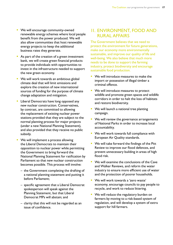- We will encourage community-owned renewable energy schemes where local people benefit from the power produced. We will also allow communities that host renewable energy projects to keep the additional business rates they generate.
- As part of the creation of a green investment bank, we will create green financial products to provide individuals with opportunities to invest in the infrastructure needed to support the new green economy.
- We will work towards an ambitious global climate deal that will limit emissions and explore the creation of new international sources of funding for the purpose of climate change adaptation and mitigation.
- Liberal Democrats have long opposed any new nuclear construction. Conservatives, by contrast, are committed to allowing the replacement of existing nuclear power stations provided that they are subject to the normal planning process for major projects (under a new National Planning Statement), and also provided that they receive no public subsidy.
- We will implement a process allowing the Liberal Democrats to maintain their opposition to nuclear power while permitting the Government to bring forward the National Planning Statement for ratification by Parliament so that new nuclear construction becomes possible. This process will involve:
	- $-$  the Government completing the drafting of a national planning statement and putting it before Parliament;
	- $-$  specific agreement that a Liberal Democrat spokesperson will speak against the Planning Statement, but that Liberal Democrat MPs will abstain; and
	- $-$  clarity that this will not be regarded as an issue of confidence.

#### **11. ENVIRONMENT, FOOD AND** RURAL AFFAIRS

The Government believes that we need to protect the environment for future generations, make our economy more environmentally sustainable, and improve our quality of life and well-being. We also believe that much more needs to be done to support the farming industry, protect biodiversity and encourage sustainable food production.

- We will introduce measures to make the import or possession of illegal timber a criminal offence.
- We will introduce measures to protect wildlife and promote green spaces and wildlife corridors in order to halt the loss of habitats and restore biodiversity.
- We will launch a national tree planting campaign.
- We will review the governance arrangements of National Parks in order to increase local accountability.
- We will work towards full compliance with European Air Quality standards.
- We will take forward the findings of the Pitt Review to improve our flood defences, and prevent unnecessary building in areas of high flood risk.
- We will examine the conclusions of the Cave and Walker Reviews, and reform the water industry to ensure more efficient use of water and the protection of poorer households.
- We will work towards a 'zero waste' economy, encourage councils to pay people to recycle, and work to reduce littering.
- We will reduce the regulatory burden on farmers by moving to a risk-based system of regulation, and will develop a system of extra support for hill farmers.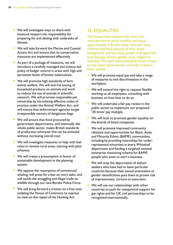- We will investigate ways to share with livestock keepers the responsibility for preparing for and dealing with outbreaks of disease.
- We will take forward the Marine and Coastal Access Act and ensure that its conservation measures are implemented effectively.
- As part of a package of measures, we will introduce a carefully managed and science-led policy of badger control in areas with high and persistent levels of bovine tuberculosis.
- We will promote high standards of farm animal welfare. We will end the testing of household products on animals and work to reduce the use of animals in scientific research. We will promote responsible pet ownership by introducing effective codes of practice under the Animal Welfare Act, and will ensure that enforcement agencies target irresponsible owners of dangerous dogs.
- We will ensure that food procured by government departments, and eventually the whole public sector, meets British standards of production wherever this can be achieved without increasing overall cost.
- We will investigate measures to help with fuel costs in remote rural areas, starting with pilot schemes.
- We will create a presumption in favour of sustainable development in the planning system.
- We oppose the resumption of commercial whaling, will press for a ban on ivory sales, and will tackle the smuggling and illegal trade on wildlife through our new Border Police Force.
- We will bring forward a motion on a free vote enabling the House of Commons to express its view on the repeal of the Hunting Act.

# **12. EQUALITIES**

The Government believes that there are many barriers to social mobility and equal opportunities in Britain today, with too many children held back because of their social background, and too many people of all ages held back because of their gender, race, religion or sexuality. We need concerted government action to tear down these barriers and help to build a fairer society.

- We will promote equal pay and take a range of measures to end discrimination in the workplace.
- We will extend the right to request flexible working to all employees, consulting with business on how best to do so.
- We will undertake a fair pay review in the public sector to implement our proposed '20 times' pay multiple.
- We will look to promote gender equality on the boards of listed companies.
- We will promote improved community relations and opportunities for Black, Asian and Minority Ethnic (BAME) communities, including by providing internships for underrepresented minorities in every Whitehall department and funding a targeted national enterprise mentoring scheme for BAME people who want to start a business.
- We will stop the deportation of asylum seekers who have had to leave particular countries because their sexual orientation or gender identification puts them at proven risk of imprisonment, torture or execution.
- We will use our relationships with other countries to push for unequivocal support for gay rights and for UK civil partnerships to be recognised internationally.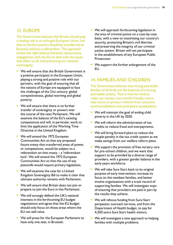#### 13. EUROPE

The Government believes that Britain should play a leading role in an enlarged European Union, but that no further powers should be transferred to Brussels without a referendum. This approach strikes the right balance between constructive engagement with the EU to deal with the issues that affect us all, and protecting our national sovereignty. 

- We will ensure that the British Government is a positive participant in the European Union, playing a strong and positive role with our partners, with the goal of ensuring that all the nations of Europe are equipped to face the challenges of the 21st century: global competitiveness, global warming and global poverty.
- We will ensure that there is no further transfer of sovereignty or powers over the course of the next Parliament. We will examine the balance of the EU's existing competences and will, in particular, work to limit the application of the Working Time Directive in the United Kingdom.
- We will amend the 1972 European Communities Act so that any proposed future treaty that transferred areas of power, or competences, would be subject to a referendum on that treaty  $-$  a 'referendum lock'. We will amend the 1972 European Communities Act so that the use of any passerelle would require primary legislation.
- We will examine the case for a United Kingdom Sovereignty Bill to make it clear that ultimate authority remains with Parliament.
- We will ensure that Britain does not join or prepare to join the Euro in this Parliament.
- We will strongly defend the UK's national interests in the forthcoming EU budget negotiations and agree that the EU budget should only focus on those areas where the EU can add value.
- We will press for the European Parliament to have only one seat, in Brussels.
- We will approach forthcoming legislation in the area of criminal justice on a case-by-case basis, with a view to maximising our country's security, protecting Britain's civil liberties and preserving the integrity of our criminal justice system. Britain will not participate in the establishment of any European Public Prosecutor.
- We support the further enlargement of the EU.

# **14. FAMILIES AND CHILDREN**

The Government believes that strong and stable families of all kinds are the bedrock of a strong and stable society. That is why we need to make our society more family friendly, and to take action to protect children from excessive commercialisation and premature sexualisation.

- We will maintain the goal of ending child poverty in the UK by 2020.
- We will reform the administration of  $tax$ credits to reduce fraud and overpayments.
- We will bring forward plans to reduce the couple penalty in the tax credit system as we make savings from our welfare reform plans.
- We support the provision of free nursery care for pre-school children, and we want that support to be provided by a diverse range of providers, with a greater gender balance in the early years workforce.
- We will take Sure Start back to its original purpose of early intervention, increase its focus on the neediest families, and better involve organisations with a track record of supporting families. We will investigate ways of ensuring that providers are paid in part by the results they achieve.
- We will refocus funding from Sure Start peripatetic outreach services, and from the Department of Health budget, to pay for 4,200 extra Sure Start health visitors.
- We will investigate a new approach to helping families with multiple problems.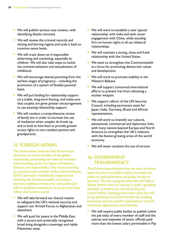- We will publish serious case reviews, with identifying details removed.
- We will review the criminal records and vetting and barring regime and scale it back to common sense levels.
- We will crack down on irresponsible advertising and marketing, especially to children. We will also take steps to tackle the commercialisation and sexualisation of childhood.
- We will encourage shared parenting from the earliest stages of pregnancy – including the promotion of a system of flexible parental leave.
- We will put funding for relationship support on a stable, long-term footing, and make sure that couples are given greater encouragement to use existing relationship support.
- We will conduct a comprehensive review of family law in order to increase the use of mediation when couples do break up, and to look at how best to provide greater access rights to non-resident parents and grandparents.

# **15. FOREIGN AFFAIRS**

The Government believes that Britain must always be an active member of the global community, promoting our national interests while standing up for the values of freedom, fairness and responsibility. This means working as a constructive member of the United Nations, NATO and other multilateral organisations including the Commonwealth; working to promote stability and security; and pushing for reform of global institutions to ensure that they reflect the modern world.

- We will take forward our shared resolve to safeguard the UK's national security and support our Armed Forces in Afghanistan and elsewhere.
- We will push for peace in the Middle East, with a secure and universally recognised Israel living alongside a sovereign and viable Palestinian state.
- We will work to establish a new 'special relationship' with India and seek closer engagement with China, while standing firm on human rights in all our bilateral relationships.
- We will maintain a strong, close and frank relationship with the United States.
- We want to strengthen the Commonwealth as a focus for promoting democratic values and development.
- We will work to promote stability in the Western Balkans.
- We will support concerted international efforts to prevent Iran from obtaining a nuclear weapon.
- We support reform of the UN Security Council, including permanent seats for lapan, India, Germany, Brazil and African representation.
- We will work to intensify our cultural, educational, commercial and diplomatic links with many nations beyond Europe and North America to strengthen the UK's relations with the fastest-growing areas of the world economy.
- We will never condone the use of torture.

#### 16. GOVERNMENT **TRANSPARENCY**

The Government believes that we need to throw open the doors of public bodies, to enable the public to hold politicians and public bodies to account. We also recognise that this will help to deliver better value for money in public spending, and help us achieve our aim of cutting the record deficit. Setting government data free will bring significant economic benefits by enabling businesses and non-profit organisations to build innovative applications and websites.

We will require public bodies to publish online the job titles of every member of staff and the salaries and expenses of senior officials paid more than the lowest salary permissible in Pay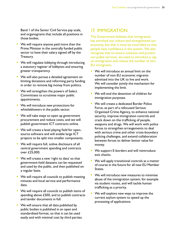Band I of the Senior Civil Service pay scale, and organograms that include all positions in those bodies.

- We will require anyone paid more than the Prime Minister in the centrally funded public sector to have their salary signed off by the Treasury.
- We will regulate lobbying through introducing a statutory register of lobbyists and ensuring greater transparency.
- We will also pursue a detailed agreement on limiting donations and reforming party funding in order to remove big money from politics.
- We will strengthen the powers of Select Committees to scrutinise major public appointments.
- We will introduce new protections for whistleblowers in the public sector.
- We will take steps to open up government procurement and reduce costs; and we will publish government ICT contracts online.
- We will create a level playing field for opensource software and will enable large ICT projects to be split into smaller components.
- We will require full, online disclosure of all central government spending and contracts over £25,000.
- We will create a new 'right to data' so that government-held datasets can be requested and used by the public, and then published on a regular basis.
- We will require all councils to publish meeting minutes and local service and performance data.
- We will require all councils to publish items of spending above £500, and to publish contracts and tender documents in full.
- We will ensure that all data published by public bodies is published in an open and standardised format, so that it can be used easily and with minimal cost by third parties.

# 17. IMMIGRATION

The Government believes that immigration has enriched our culture and strengthened our economy, but that it must be controlled so that people have confidence in the system. We also recognise that to ensure cohesion and protect our public services, we need to introduce a cap on immigration and reduce the number of non-EU immigrants. 

- We will introduce an annual limit on the number of non-EU economic migrants admitted into the UK to live and work. We will consider jointly the mechanism for implementing the limit.
- We will end the detention of children for immigration purposes.
- We will create a dedicated Border Police Force, as part of a refocused Serious Organised Crime Agency, to enhance national security, improve immigration controls and crack down on the trafficking of people, weapons and drugs. We will work with police forces to strengthen arrangements to deal with serious crime and other cross-boundary policing challenges, and extend collaboration between forces to deliver better value for money.
- We support E-borders and will reintroduce exit checks.
- We will apply transitional controls as a matter of course in the future for all new EU Member States.
- We will introduce new measures to minimise abuse of the immigration system, for example via student routes, and will tackle human trafficking as a priority.
- We will explore new ways to improve the current asylum system to speed up the processing of applications.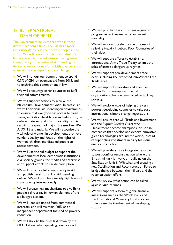#### 18. INTERNATIONAL DEVELOPMENT

The Government believes that even in these difficult economic times, the UK has a moral responsibility to help the poorest people in the world. We will honour our aid commitments, but at the same time will ensure much greater transparency and scrutiny of aid spending to deliver value for money for British taxpayers and to maximise the impact of our aid budget.

- We will honour our commitment to spend 0.7% of GNI on overseas aid from 2013, and to enshrine this commitment in law.
- We will encourage other countries to fulfil their aid commitments.
- We will support actions to achieve the Millennium Development Goals. In particular, we will prioritise aid spending on programmes to ensure that everyone has access to clean water, sanitation, healthcare and education; to reduce maternal and infant mortality; and to restrict the spread of major diseases like HIV/ AIDS, TB and malaria. We will recognise the vital role of women in development, promote gender equality and focus on the rights of women, children and disabled people to access services.
- We will use the aid budget to support the development of local democratic institutions, civil society groups, the media and enterprise; and support efforts to tackle corruption.
- We will introduce full transparency in aid and publish details of all UK aid spending online. We will push for similarly high levels of transparency internationally.
- We will create new mechanisms to give British people a direct say in how an element of the aid budget is spent.
- We will keep aid untied from commercial interests, and will maintain DfID as an independent department focused on poverty reduction.
- We will stick to the rules laid down by the OECD about what spending counts as aid.
- We will push hard in 2010 to make greater progress in tackling maternal and infant mortality.
- We will work to accelerate the process of relieving Heavily Indebted Poor Countries of their debt.
- We will support efforts to establish an International Arms Trade Treaty to limit the sales of arms to dangerous regimes.
- We will support pro-development trade deals, including the proposed Pan-African Free Trade Area.
- We will support innovative and effective smaller British non-governmental organisations that are committed to tackling poverty.
- We will explore ways of helping the very poorest developing countries to take part in international climate change negotiations.
- We will ensure that UK Trade and Investment and the Export Credits Guarantee Department become champions for British companies that develop and export innovative green technologies around the world, instead of supporting investment in dirty fossil-fuel energy production.
- We will provide a more integrated approach to post-conflict reconstruction where the British military is involved  $-$  building on the Stabilisation Unit in Whitehall and creating a new Stabilisation and Reconstruction Force to bridge the gap between the military and the reconstruction effort.
- We will review what action can be taken against 'vulture funds'.
- We will support reform of global financial institutions such as the World Bank and the International Monetary Fund in order to increase the involvement of developing nations.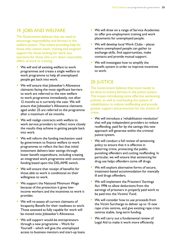# 19. JOBS AND WELFARE

The Government believes that we need to encourage responsibility and fairness in the welfare system. That means providing help for those who cannot work, training and targeted support for those looking for work, but sanctions for those who turn down reasonable offers of work or training.

- We will end all existing welfare to work programmes and create a single welfare to work programme to help all unemployed people get back into work.
- We will ensure that Jobseeker's Allowance claimants facing the most significant barriers to work are referred to the new welfare to work programme immediately, not after 12 months as is currently the case. We will ensure that lobseeker's Allowance claimants aged under 25 are referred to the programme after a maximum of six months.
- We will realign contracts with welfare to work service providers to reflect more closely the results they achieve in getting people back into work.
- We will reform the funding mechanism used by government to finance welfare to work programmes to reflect the fact that initial investment delivers later savings through lower benefit expenditure, including creating an integrated work programme with outcome funding based upon the DEL/AME switch.
- We will ensure that receipt of benefits for those able to work is conditional on their willingness to work.
- We support the National Minimum Wage because of the protection it gives lowincome workers and the incentives to work it provides.
- We will re-assess all current claimants of Incapacity Benefit for their readiness to work. Those assessed as fully capable for work will be moved onto Jobseeker's Allowance.
- We will support would-be entrepreneurs through a new programme - Work for Yourself – which will give the unemployed access to business mentors and start-up loans.
- We will draw on a range of Service Academies to offer pre-employment training and work placements for unemployed people.
- We will develop local Work Clubs  $-$  places where unemployed people can gather to exchange skills, find opportunities, make contacts and provide mutual support.
- We will investigate how to simplify the benefit system in order to improve incentives to work.

# 20. IUSTICE

The Government believes that more needs to be done to ensure fairness in the justice system. This means introducing more effective sentencing policies, as well as overhauling the system of rehabilitation to reduce reoffending and provide greater support and protection for the victims of crime.

- We will introduce a 'rehabilitation revolution' that will pay independent providers to reduce reoffending, paid for by the savings this new approach will generate within the criminal justice system.
- We will conduct a full review of sentencing policy to ensure that it is effective in deterring crime, protecting the public, punishing offenders and cutting reoffending. In particular, we will ensure that sentencing for drug use helps offenders come off drugs.
- We will explore alternative forms of secure, treatment-based accommodation for mentally ill and drugs offenders.
- We will implement the Prisoners' Earnings Act 1996 to allow deductions from the earnings of prisoners in properly paid work to be paid into the Victims' Fund.
- We will consider how to use proceeds from the Victim Surcharge to deliver up to 15 new rape crisis centres, and give existing rape crisis centres stable, long-term funding.
- We will carry out a fundamental review of Legal Aid to make it work more efficiently.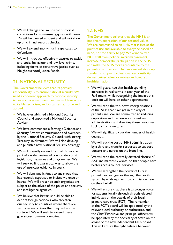- We will change the law so that historical convictions for consensual gay sex with over-16s will be treated as spent and will not show up on criminal records checks.
- We will extend anonymity in rape cases to defendants.
- We will introduce effective measures to tackle anti-social behaviour and low-level crime, including forms of restorative justice such as Neighbourhood Justice Panels.

# 21. NATIONAL SECURITY

The Government believes that its primary responsibility is to ensure national security. We need a coherent approach to national security issues across government, and we will take action to tackle terrorism, and its causes, at home and abroad.

- We have established a National Security Council and appointed a National Security Adviser.
- We have commenced a Strategic Defence and Security Review, commissioned and overseen by the National Security Council, with strong Treasury involvement. We will also develop and publish a new National Security Strategy.
- We will urgently review Control Orders, as part of a wider review of counter-terrorist legislation, measures and programmes. We will seek to find a practical way to allow the use of intercept evidence in court.
- We will deny public funds to any group that has recently espoused or incited violence or hatred. We will proscribe such organisations, subject to the advice of the police and security and intelligence agencies.
- We believe that Britain should be able to deport foreign nationals who threaten our security to countries where there are verifiable guarantees that they will not be tortured. We will seek to extend these guarantees to more countries.

# **22. NHS**

The Government believes that the NHS is an important expression of our national values. We are committed to an NHS that is free at the point of use and available to everyone based on need, not the ability to pay. We want to free NHS staff from political micromanagement, increase democratic participation in the NHS and make the NHS more accountable to the patients that it serves. That way we will drive up standards, support professional responsibility, deliver better value for money and create a healthier nation.

- We will guarantee that health spending increases in real terms in each year of the Parliament, while recognising the impact this decision will have on other departments.
- We will stop the top-down reorganisations of the NHS that have got in the way of patient care. We are committed to reducing duplication and the resources spent on administration, and diverting these resources back to front-line care.
- We will significantly cut the number of health quangos.
- We will cut the cost of NHS administration by a third and transfer resources to support doctors and nurses on the front line.
- We will stop the centrally dictated closure of A&E and maternity wards, so that people have better access to local services.
- We will strengthen the power of GPs as patients' expert guides through the health system by enabling them to commission care on their behalf.
- We will ensure that there is a stronger voice for patients locally through directly elected individuals on the boards of their local primary care trust (PCT). The remainder of the PCT's board will be appointed by the relevant local authority or authorities, and the Chief Executive and principal officers will be appointed by the Secretary of State on the advice of the new independent NHS board. This will ensure the right balance between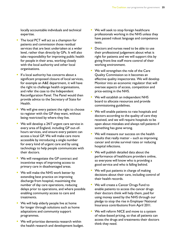locally accountable individuals and technical expertise.

- The local PCT will act as a champion for patients and commission those residual services that are best undertaken at a wider level, rather than directly by GPs. It will also take responsibility for improving public health for people in their area, working closely with the local authority and other local organisations.
- If a local authority has concerns about a significant proposed closure of local services, for example an A&E department, it will have the right to challenge health organisations, and refer the case to the Independent Reconfiguration Panel. The Panel would then provide advice to the Secretary of State for Health.
- We will give every patient the right to choose to register with the GP they want, without being restricted by where they live.
- We will develop a 24/7 urgent care service in every area of England, including GP out-ofhours services, and ensure every patient can access a local GP. We will make care more accessible by introducing a single number for every kind of urgent care and by using technology to help people communicate with their doctors.
- We will renegotiate the GP contract and incentivise ways of improving access to primary care in disadvantaged areas.
- We will make the NHS work better by extending best practice on improving discharge from hospital, maximising the number of day care operations, reducing delays prior to operations, and where possible enabling community access to care and treatments.
- We will help elderly people live at home for longer through solutions such as home adaptations and community support programmes.
- We will prioritise dementia research within the health research and development budget.
- We will seek to stop foreign healthcare professionals working in the NHS unless they have passed robust language and competence tests.
- Doctors and nurses need to be able to use their professional judgement about what is right for patients and we will support this by giving front-line staff more control of their working environment.
- We will strengthen the role of the Care Quality Commission so it becomes an effective quality inspectorate. We will develop Monitor into an economic regulator that will oversee aspects of access, competition and price-setting in the NHS.
- We will establish an independent NHS board to allocate resources and provide commissioning guidelines.
- We will enable patients to rate hospitals and doctors according to the quality of care they received, and we will require hospitals to be open about mistakes and always tell patients if something has gone wrong.
- We will measure our success on the health results that really matter  $-$  such as improving cancer and stroke survival rates or reducing hospital infections.
- We will publish detailed data about the performance of healthcare providers online, so everyone will know who is providing a good service and who is falling behind.
- We will put patients in charge of making decisions about their care, including control of their health records.
- We will create a Cancer Drugs Fund to enable patients to access the cancer drugs their doctors think will help them, paid for using money saved by the NHS through our pledge to stop the rise in Employer National Insurance contributions from April 2011.
- We will reform NICE and move to a system of value-based pricing, so that all patients can access the drugs and treatments their doctors think they need.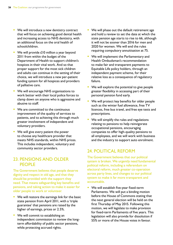- We will introduce a new dentistry contract that will focus on achieving good dental health and increasing access to NHS dentistry, with an additional focus on the oral health of schoolchildren.
- We will provide  $£10$  million a year beyond 2011 from within the budget of the Department of Health to support children's hospices in their vital work. And so that proper support for the most sick children and adults can continue in the setting of their choice, we will introduce a new per-patient funding system for all hospices and providers of palliative care.
- We will encourage NHS organisations to work better with their local police forces to clamp down on anyone who is aggressive and abusive to staff.
- We are committed to the continuous improvement of the quality of services to patients, and to achieving this through much greater involvement of independent and voluntary providers.
- We will give every patient the power to choose any healthcare provider that meets NHS standards, within NHS prices. This includes independent, voluntary and community sector providers.

# 23. PENSIONS AND OLDER PEOPLE

The Government believes that people deserve dignity and respect in old age, and that they should be provided with the support they need. That means safeguarding key benefits and pensions, and taking action to make it easier for older people to work or volunteer.

- We will restore the earnings link for the basic state pension from April 2011, with a 'triple guarantee' that pensions are raised by the higher of earnings, prices or 2.5%.
- We will commit to establishing an independent commission to review the longterm affordability of public sector pensions, while protecting accrued rights.
- We will phase out the default retirement age and hold a review to set the date at which the state pension age starts to rise to 66, although it will not be sooner than 2016 for men and 2020 for women. We will end the rules requiring compulsory annuitisation at 75.
- We will implement the Parliamentary and Health Ombudsman's recommendation to make fair and transparent payments to Equitable Life policy holders, through an independent payment scheme, for their relative loss as a consequence of regulatory failure.
- We will explore the potential to give people greater flexibility in accessing part of their personal pension fund early.
- We will protect key benefits for older people such as the winter fuel allowance, free TV licences, free bus travel, and free eye tests and prescriptions.
- We will simplify the rules and regulations relating to pensions to help reinvigorate occupational pensions, encouraging companies to offer high-quality pensions to all employees, and we will work with business and the industry to support auto enrolment.

# 24. POLITICAL REFORM

The Government believes that our political system is broken. We urgently need fundamental political reform, including a referendum on electoral reform, much greater co-operation across party lines, and changes to our political system to make it far more transparent and accountable.

• We will establish five-year fixed-term Parliaments. We will put a binding motion before the House of Commons stating that the next general election will be held on the first Thursday of May 2015. Following this motion, we will legislate to make provision for fixed-term Parliaments of five years. This legislation will also provide for dissolution if 55% or more of the House votes in favour.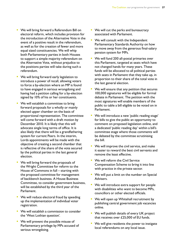- We will bring forward a Referendum Bill on electoral reform, which includes provision for the introduction of the Alternative Vote in the event of a positive result in the referendum, as well as for the creation of fewer and more equal sized constituencies. We will whip both Parliamentary parties in both Houses to support a simple majority referendum on the Alternative Vote, without prejudice to the positions parties will take during such a referendum.
- We will bring forward early legislation to introduce a power of recall, allowing voters to force a by-election where an MP is found to have engaged in serious wrongdoing and having had a petition calling for a by-election signed by 10% of his or her constituents.
- We will establish a committee to bring forward proposals for a wholly or mainly elected upper chamber on the basis of proportional representation. The committee will come forward with a draft motion by December 2010. It is likely that this will advocate single long terms of office. It is also likely that there will be a grandfathering system for current Peers. In the interim, Lords appointments will be made with the objective of creating a second chamber that is reflective of the share of the vote secured by the political parties in the last general election.
- We will bring forward the proposals of the Wright Committee for reform to the House of Commons in  $full$  – starting with the proposed committee for management of backbench business. A House Business Committee, to consider government business, will be established by the third year of the Parliament.
- We will reduce electoral fraud by speeding up the implementation of individual voter registration.
- We will establish a commission to consider the 'West Lothian question'.
- We will prevent the possible misuse of Parliamentary privilege by MPs accused of serious wrongdoing.
- We will cut the perks and bureaucracy associated with Parliament.
- We will consult with the Independent Parliamentary Standards Authority on how to move away from the generous final-salary pension system for MPs.
- We will fund 200 all-postal primaries over this Parliament, targeted at seats which have not changed hands for many years. These funds will be allocated to all political parties with seats in Parliament that they take up, in proportion to their share of the total vote in the last general election.
- We will ensure that any petition that secures 100,000 signatures will be eligible for formal debate in Parliament. The petition with the most signatures will enable members of the public to table a bill eligible to be voted on in Parliament.
- We will introduce a new 'public reading stage' for bills to give the public an opportunity to comment on proposed legislation online, and a dedicated 'public reading day' within a bill's committee stage where those comments will be debated by the committee scrutinising the bill.
- We will improve the civil service, and make it easier to reward the best civil servants and remove the least effective.
- We will reform the Civil Service Compensation Scheme to bring it into line with practice in the private sector.
- We will put a limit on the number on Special Advisers.
- We will introduce extra support for people with disabilities who want to become MPs, councillors or other elected officials.
- We will open up Whitehall recruitment by publishing central government job vacancies online.
- We will publish details of every UK project that receives over  $£25,000$  of EU funds.
- We will give residents the power to instigate local referendums on any local issue.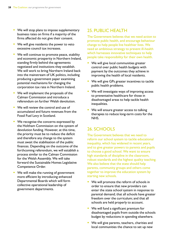- We will stop plans to impose supplementary business rates on firms if a majority of the firms affected do not give their consent.
- We will give residents the power to veto excessive council tax increases.
- We will continue to promote peace, stability and economic prosperity in Northern Ireland, standing firmly behind the agreements negotiated and institutions they establish. We will work to bring Northern Ireland back into the mainstream of UK politics, including producing a government paper examining potential mechanisms for changing the corporation tax rate in Northern Ireland.
- We will implement the proposals of the Calman Commission and introduce a referendum on further Welsh devolution.
- We will review the control and use of accumulated and future revenues from the Fossil Fuel Levy in Scotland.
- We recognise the concerns expressed by the Holtham Commission on the system of devolution funding. However, at this time, the priority must be to reduce the deficit and therefore any change to the system must await the stabilisation of the public finances. Depending on the outcome of the forthcoming referendum, we will establish a process similar to the Calman Commission for the Welsh Assembly. We will take forward the Sustainable Homes Legislative Competence Order.
- We will make the running of government more efficient by introducing enhanced Departmental Boards which will form collective operational leadership of government departments.

#### 25. PUBLIC HEALTH

The Government believes that we need action to promote public health, and encourage behaviour change to help people live healthier lives. We need an ambitious strategy to prevent ill-health which harnesses innovative techniques to help people take responsibility for their own health.

- We will give local communities greater control over public health budgets with payment by the outcomes they achieve in improving the health of local residents.
- We will give GPs greater incentives to tackle public health problems.
- We will investigate ways of improving access to preventative healthcare for those in disadvantaged areas to help tackle health inequalities.
- We will ensure greater access to talking therapies to reduce long-term costs for the NHS.

# 26. SCHOOLS

The Government believes that we need to reform our school system to tackle educational inequality, which has widened in recent years, and to give greater powers to parents and pupils to choose a good school. We want to ensure high standards of discipline in the classroom, robust standards and the highest quality teaching. We also believe that the state should help parents, community groups and others come together to improve the education system by starting new schools.

- We will promote the reform of schools in order to ensure that new providers can enter the state school system in response to parental demand; that all schools have greater freedom over the curriculum; and that all schools are held properly to account.
- We will fund a significant premium for disadvantaged pupils from outside the schools budget by reductions in spending elsewhere.
- We will give parents, teachers, charities and local communities the chance to set up new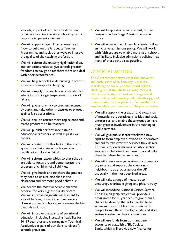schools, as part of our plans to allow new providers to enter the state school system in response to parental demand.

- We will support Teach First, create Teach Now to build on the Graduate Teacher Programme, and seek other ways to improve the quality of the teaching profession.
- We will reform the existing rigid national pay and conditions rules to give schools greater freedoms to pay good teachers more and deal with poor performance.
- We will help schools tackle bullying in schools, especially homophobic bullying.
- We will simplify the regulation of standards in education and target inspection on areas of failure.
- We will give anonymity to teachers accused by pupils and take other measures to protect against false accusations.
- We will seek to attract more top science and maths graduates to be teachers.
- We will publish performance data on educational providers, as well as past exam papers.
- We will create more flexibility in the exams systems so that state schools can offer qualifications like the IGCSE.
- We will reform league tables so that schools are able to focus on, and demonstrate, the progress of children of all abilities.
- We will give heads and teachers the powers they need to ensure discipline in the classroom and promote good behaviour.
- We believe the most vulnerable children deserve the very highest quality of care. We will improve diagnostic assessment for schoolchildren, prevent the unnecessary closure of special schools, and remove the bias towards inclusion.
- We will improve the quality of vocational education, including increasing flexibility for 14–19 year olds and creating new Technical Academies as part of our plans to diversify schools provision.
- We will keep external assessment, but will review how Key Stage 2 tests operate in future.
- We will ensure that all new Academies follow an inclusive admissions policy. We will work with faith groups to enable more faith schools and facilitate inclusive admissions policies in as many of these schools as possible.

# 27. SOCIAL ACTION

The Government believes that the innovation and enthusiasm of civil society is essential in tackling the social, economic and political challenges that the UK faces today. We will take action to support and encourage social responsibility, volunteering and philanthropy, and make it easier for people to come together to improve their communities and help one another.

- We will support the creation and expansion of mutuals, co-operatives, charities and social enterprises, and enable these groups to have much greater involvement in the running of public services.
- We will give public sector workers a new right to form employee-owned co-operatives and bid to take over the services they deliver. This will empower millions of public sector workers to become their own boss and help them to deliver better services.
- We will train a new generation of community organisers and support the creation of neighbourhood groups across the UK, especially in the most deprived areas.
- We will take a range of measures to encourage charitable giving and philanthropy.
- We will introduce National Citizen Service. The initial flagship project will provide a programme for 16 year olds to give them a chance to develop the skills needed to be active and responsible citizens, mix with people from different backgrounds, and start getting involved in their communities.
- We will use funds from dormant bank accounts to establish a 'Big Society Bank', which will provide new finance for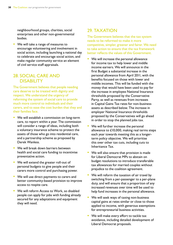neighbourhood groups, charities, social enterprises and other non-governmental bodies.

We will take a range of measures to encourage volunteering and involvement in social action, including launching a national day to celebrate and encourage social action, and make regular community service an element of civil service staff appraisals.

#### 28. SOCIAL CARE AND **DISABILITY**

The Government believes that people needing care deserve to be treated with dignity and respect. We understand the urgency of reforming the system of social care to provide much more control to individuals and their carers, and to ease the cost burden that they and their families face.

- We will establish a commission on long-term care, to report within a year. The commission will consider a range of ideas, including both a voluntary insurance scheme to protect the assets of those who go into residential care, and a partnership scheme as proposed by Derek Wanless.
- We will break down barriers between health and social care funding to incentivise preventative action.
- We will extend the greater roll-out of personal budgets to give people and their carers more control and purchasing power.
- We will use direct payments to carers and better community-based provision to improve access to respite care.
- We will reform Access to Work, so disabled people can apply for jobs with funding already secured for any adaptations and equipment they will need.

#### 29. TAXATION

The Government believes that the tax system needs to be reformed to make it more competitive, simpler, greener and fairer. We need to take action to ensure that the tax framework better reflects the values of this Government.

- We will increase the personal allowance for income tax to help lower and middle income earners. We will announce in the first Budget a substantial increase in the personal allowance from April 2011, with the benefits focused on those with lower and middle incomes. This will be funded with the money that would have been used to pay for the increase in employee National Insurance thresholds proposed by the Conservative Party, as well as revenues from increases in Capital Gains Tax rates for non-business assets as described below. The increase in employer National Insurance thresholds proposed by the Conservatives will go ahead in order to stop the planned jobs tax.
- We will further increase the personal allowance to  $£10,000$ , making real terms steps each year towards meeting this as a longerterm policy objective. We will prioritise this over other tax cuts, including cuts to Inheritance Tax.
- We will also ensure that provision is made for Liberal Democrat MPs to abstain on budget resolutions to introduce transferable tax allowances for married couples without prejudice to the coalition agreement.
- We will reform the taxation of air travel by switching from a per-passenger to a per-plane duty, and will ensure that a proportion of any increased revenues over time will be used to help fund increases in the personal allowance.
- We will seek ways of taxing non-business capital gains at rates similar or close to those applied to income, with generous exemptions for entrepreneurial business activities.
- We will make every effort to tackle tax avoidance, including detailed development of Liberal Democrat proposals.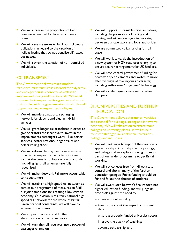- We will increase the proportion of  $tax$ revenue accounted for by environmental taxes.
- We will take measures to fulfil our EU treaty obligations in regard to the taxation of holiday letting that do not penalise UK-based businesses.
- We will review the taxation of non-domiciled individuals.

# **30. TRANSPORT**

The Government believes that a modern transport infrastructure is essential for a dynamic and entrepreneurial economy, as well as to improve well-being and quality of life. We need to make the transport sector greener and more sustainable, with tougher emission standards and support for new transport technologies.

- We will mandate a national recharging network for electric and plug-in hybrid vehicles.
- We will grant longer rail franchises in order to give operators the incentive to invest in the improvements passengers want - like better services, better stations, longer trains and better rolling stock.
- We will reform the way decisions are made on which transport projects to prioritise, so that the benefits of low carbon proposals (including light rail schemes) are fully recognised.
- We will make Network Rail more accountable to its customers.
- We will establish a high speed rail network as part of our programme of measures to fulfil our joint ambitions for creating a low carbon economy. Our vision is of a truly national high speed rail network for the whole of Britain. Given financial constraints, we will have to achieve this in phases.
- We support Crossrail and further electrification of the rail network.
- We will turn the rail regulator into a powerful passenger champion.
- We will support sustainable travel initiatives, including the promotion of cycling and walking, and will encourage joint working between bus operators and local authorities.
- We are committed to fair pricing for rail travel.
- We will work towards the introduction of a new system of HGV road user charging to ensure a fairer arrangement for UK hauliers.
- We will stop central government funding for new fixed speed cameras and switch to more effective ways of making our roads safer, including authorising 'drugalyser' technology.
- We will tackle rogue private sector wheel clampers.

#### 31. UNIVERSITIES AND FURTHER **EDUCATION**

The Government believes that our universities are essential for building a strong and innovative economy. We will take action to create more college and university places, as well as help to foster stronger links between universities, colleges and industries.

- We will seek ways to support the creation of apprenticeships, internships, work pairings, and college and workplace training places as part of our wider programme to get Britain working.
- We will set colleges free from direct state control and abolish many of the further education quangos. Public funding should be fair and follow the choices of students.
- We will await Lord Browne's final report into higher education funding, and will judge its proposals against the need to:
	- $-$  increase social mobility;
	- $-$  take into account the impact on student debt;
	- ensure a properly funded university sector;
	- $-$  improve the quality of teaching;
	- $-$  advance scholarship; and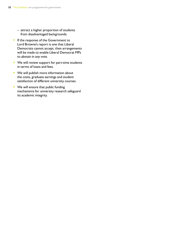- attract a higher proportion of students from disadvantaged backgrounds.
- If the response of the Government to Lord Browne's report is one that Liberal Democrats cannot accept, then arrangements will be made to enable Liberal Democrat MPs to abstain in any vote.
- We will review support for part-time students in terms of loans and fees.
- We will publish more information about the costs, graduate earnings and student satisfaction of different university courses.
- We will ensure that public funding mechanisms for university research safeguard its academic integrity.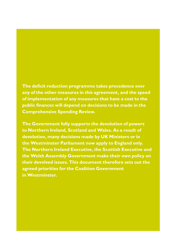The deficit reduction programme takes precedence over any of the other measures in this agreement, and the speed of implementation of any measures that have a cost to the public finances will depend on decisions to be made in the **Comprehensive Spending Review.** 

**The Government fully supports the devolution of powers** to Northern Ireland, Scotland and Wales. As a result of devolution, many decisions made by UK Ministers or in the Westminster Parliament now apply to England only. **The Northern Ireland Executive, the Scottish Executive and** the Welsh Assembly Government make their own policy on **their devolved issues. This document therefore sets out the** agreed priorities for the **Coalition Government in Westminster.**